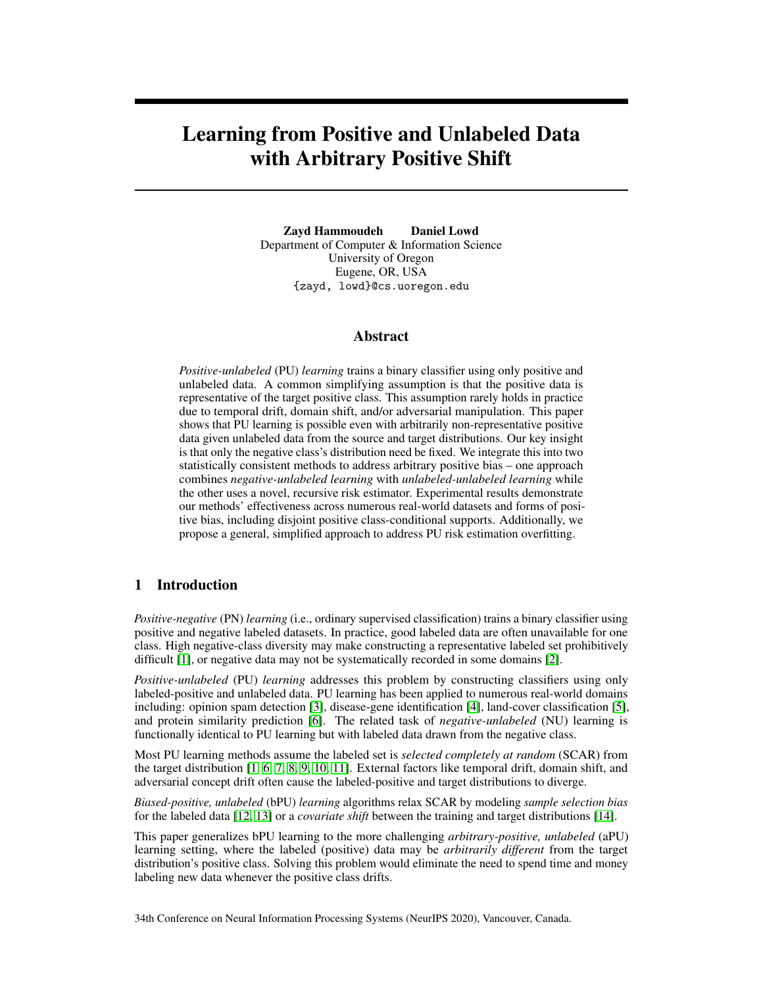# Learning from Positive and Unlabeled Data with Arbitrary Positive Shift

Zayd Hammoudeh Daniel Lowd Department of Computer & Information Science University of Oregon Eugene, OR, USA {zayd, lowd}@cs.uoregon.edu

## Abstract

*Positive-unlabeled* (PU) *learning* trains a binary classifier using only positive and unlabeled data. A common simplifying assumption is that the positive data is representative of the target positive class. This assumption rarely holds in practice due to temporal drift, domain shift, and/or adversarial manipulation. This paper shows that PU learning is possible even with arbitrarily non-representative positive data given unlabeled data from the source and target distributions. Our key insight is that only the negative class's distribution need be fixed. We integrate this into two statistically consistent methods to address arbitrary positive bias – one approach combines *negative-unlabeled learning* with *unlabeled-unlabeled learning* while the other uses a novel, recursive risk estimator. Experimental results demonstrate our methods' effectiveness across numerous real-world datasets and forms of positive bias, including disjoint positive class-conditional supports. Additionally, we propose a general, simplified approach to address PU risk estimation overfitting.

# <span id="page-0-0"></span>1 Introduction

*Positive-negative* (PN) *learning* (i.e., ordinary supervised classification) trains a binary classifier using positive and negative labeled datasets. In practice, good labeled data are often unavailable for one class. High negative-class diversity may make constructing a representative labeled set prohibitively difficult [\[1\]](#page-9-0), or negative data may not be systematically recorded in some domains [\[2\]](#page-9-1).

*Positive-unlabeled* (PU) *learning* addresses this problem by constructing classifiers using only labeled-positive and unlabeled data. PU learning has been applied to numerous real-world domains including: opinion spam detection [\[3\]](#page-9-2), disease-gene identification [\[4\]](#page-9-3), land-cover classification [\[5\]](#page-9-4), and protein similarity prediction [\[6\]](#page-9-5). The related task of *negative-unlabeled* (NU) learning is functionally identical to PU learning but with labeled data drawn from the negative class.

Most PU learning methods assume the labeled set is *selected completely at random* (SCAR) from the target distribution [\[1,](#page-9-0) [6,](#page-9-5) [7,](#page-9-6) [8,](#page-9-7) [9,](#page-9-8) [10,](#page-9-9) [11\]](#page-10-0). External factors like temporal drift, domain shift, and adversarial concept drift often cause the labeled-positive and target distributions to diverge.

*Biased-positive, unlabeled* (bPU) *learning* algorithms relax SCAR by modeling *sample selection bias* for the labeled data [\[12,](#page-10-1) [13\]](#page-10-2) or a *covariate shift* between the training and target distributions [\[14\]](#page-10-3).

This paper generalizes bPU learning to the more challenging *arbitrary-positive, unlabeled* (aPU) learning setting, where the labeled (positive) data may be *arbitrarily different* from the target distribution's positive class. Solving this problem would eliminate the need to spend time and money labeling new data whenever the positive class drifts.

34th Conference on Neural Information Processing Systems (NeurIPS 2020), Vancouver, Canada.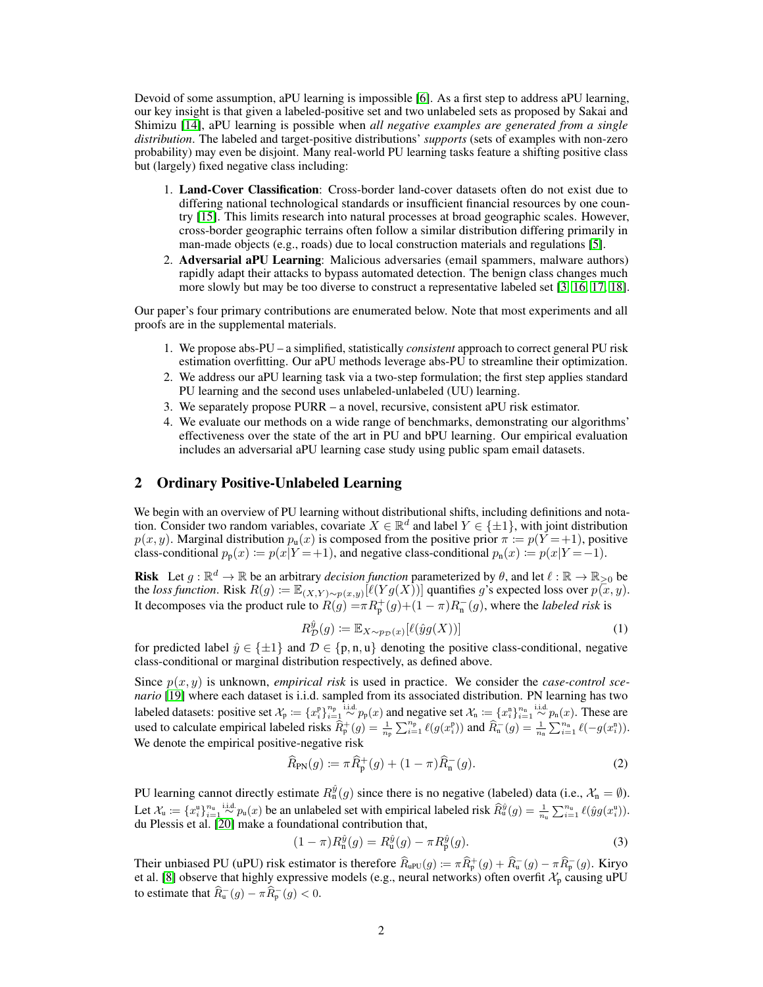Devoid of some assumption, aPU learning is impossible [\[6\]](#page-9-5). As a first step to address aPU learning, our key insight is that given a labeled-positive set and two unlabeled sets as proposed by Sakai and Shimizu [\[14\]](#page-10-3), aPU learning is possible when *all negative examples are generated from a single distribution*. The labeled and target-positive distributions' *supports* (sets of examples with non-zero probability) may even be disjoint. Many real-world PU learning tasks feature a shifting positive class but (largely) fixed negative class including:

- 1. Land-Cover Classification: Cross-border land-cover datasets often do not exist due to differing national technological standards or insufficient financial resources by one country [\[15\]](#page-10-4). This limits research into natural processes at broad geographic scales. However, cross-border geographic terrains often follow a similar distribution differing primarily in man-made objects (e.g., roads) due to local construction materials and regulations [\[5\]](#page-9-4).
- 2. Adversarial aPU Learning: Malicious adversaries (email spammers, malware authors) rapidly adapt their attacks to bypass automated detection. The benign class changes much more slowly but may be too diverse to construct a representative labeled set [\[3,](#page-9-2) [16,](#page-10-5) [17,](#page-10-6) [18\]](#page-10-7).

Our paper's four primary contributions are enumerated below. Note that most experiments and all proofs are in the supplemental materials.

- 1. We propose abs-PU a simplified, statistically *consistent* approach to correct general PU risk estimation overfitting. Our aPU methods leverage abs-PU to streamline their optimization.
- 2. We address our aPU learning task via a two-step formulation; the first step applies standard PU learning and the second uses unlabeled-unlabeled (UU) learning.
- 3. We separately propose PURR a novel, recursive, consistent aPU risk estimator.
- 4. We evaluate our methods on a wide range of benchmarks, demonstrating our algorithms' effectiveness over the state of the art in PU and bPU learning. Our empirical evaluation includes an adversarial aPU learning case study using public spam email datasets.

### 2 Ordinary Positive-Unlabeled Learning

We begin with an overview of PU learning without distributional shifts, including definitions and notation. Consider two random variables, covariate  $X \in \mathbb{R}^d$  and label  $Y \in \{\pm 1\}$ , with joint distribution  $p(x, y)$ . Marginal distribution  $p_u(x)$  is composed from the positive prior  $\pi \coloneqq p(Y = +1)$ , positive class-conditional  $p_p(x) := p(x|Y = +1)$ , and negative class-conditional  $p_n(x) := p(x|Y = -1)$ .

**Risk** Let  $g : \mathbb{R}^d \to \mathbb{R}$  be an arbitrary *decision function* parameterized by  $\theta$ , and let  $\ell : \mathbb{R} \to \mathbb{R}_{\geq 0}$  be the *loss function*. Risk  $R(g) := \mathbb{E}_{(X,Y) \sim p(x,y)} [\ell(Yg(X))]$  quantifies g's expected loss over  $p(\vec{x}, y)$ . It decomposes via the product rule to  $R(g) = \pi R_{p}^{+}(g) + (1 - \pi)R_{n}^{-}(g)$ , where the *labeled risk* is

$$
R_{\mathcal{D}}^{\hat{y}}(g) \coloneqq \mathbb{E}_{X \sim p_{\mathcal{D}}(x)}[\ell(\hat{y}g(X))]
$$
\n<sup>(1)</sup>

for predicted label  $\hat{y} \in \{\pm 1\}$  and  $\mathcal{D} \in \{p, n, u\}$  denoting the positive class-conditional, negative class-conditional or marginal distribution respectively, as defined above.

Since  $p(x, y)$  is unknown, *empirical risk* is used in practice. We consider the *case-control scenario* [\[19\]](#page-10-8) where each dataset is i.i.d. sampled from its associated distribution. PN learning has two labeled datasets: positive set  $\mathcal{X}_p := \{x_i^p\}_{i=1}^{n_p} \stackrel{\text{i.i.d.}}{\sim} p_p(x)$  and negative set  $\mathcal{X}_n := \{x_i^p\}_{i=1}^{n_n} \stackrel{\text{i.i.d.}}{\sim} p_n(x)$ . These are used to calculate empirical labeled risks  $\widehat{R}_{p}^{+}(g) = \frac{1}{n_p} \sum_{i=1}^{n_p} \ell(g(x_i^p))$  and  $\widehat{R}_{n}^{-}(g) = \frac{1}{n_n} \sum_{i=1}^{n_n} \ell(-g(x_i^p)).$ We denote the empirical positive-negative risk

$$
\widehat{R}_{\rm PN}(g) := \pi \widehat{R}_{\rm p}^+(g) + (1 - \pi) \widehat{R}_{\rm n}^-(g). \tag{2}
$$

PU learning cannot directly estimate  $R_n^{\hat{y}}(g)$  since there is no negative (labeled) data (i.e.,  $\mathcal{X}_n = \emptyset$ ). Let  $\mathcal{X}_u := \{x_i^u\}_{i=1}^{n_u} \sim p_u(x)$  be an unlabeled set with empirical labeled risk  $\widehat{R}_u^{\widehat{y}}(g) = \frac{1}{n_u} \sum_{i=1}^{n_u} \ell(\widehat{y}g(x_i^u))$ . du Plessis et al. [\[20\]](#page-10-9) make a foundational contribution that,

<span id="page-1-0"></span>
$$
(1 - \pi)R_{n}^{\hat{y}}(g) = R_{u}^{\hat{y}}(g) - \pi R_{p}^{\hat{y}}(g). \tag{3}
$$

Their unbiased PU (uPU) risk estimator is therefore  $\widehat{R}_{\text{uPU}}(g) := \pi \widehat{R}_{p}^{+}(g) + \widehat{R}_{\text{u}}^{-}(g) - \pi \widehat{R}_{p}^{-}(g)$ . Kiryo et al. [\[8\]](#page-9-7) observe that highly expressive models (e.g., neural networks) often overfit  $\mathcal{X}_p$  causing uPU to estimate that  $\widehat{R}_{\mathbf{u}}^-(g) - \pi \widehat{R}_{\mathbf{p}}^-(g) < 0.$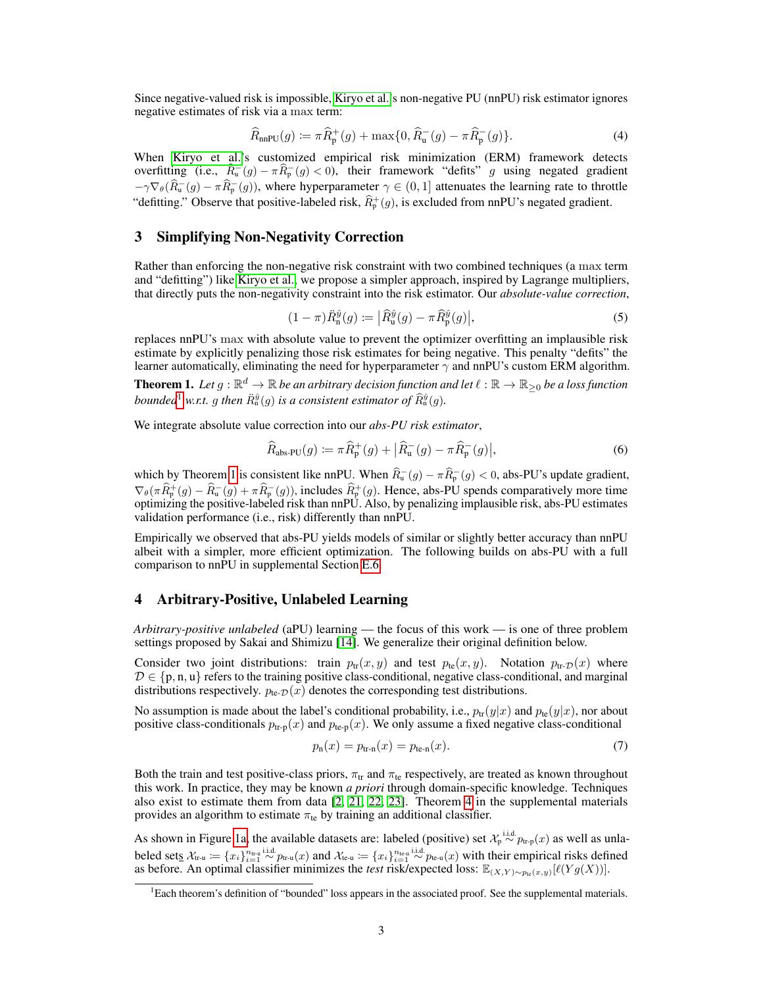Since negative-valued risk is impossible, [Kiryo et al.'](#page-9-7)s non-negative PU (nnPU) risk estimator ignores negative estimates of risk via a max term:

$$
\widehat{R}_{\text{nnPU}}(g) := \pi \widehat{R}_{\text{p}}^{+}(g) + \max\{0, \widehat{R}_{\text{u}}^{-}(g) - \pi \widehat{R}_{\text{p}}^{-}(g)\}.
$$
\n(4)

When [Kiryo et al.'](#page-9-7)s customized empirical risk minimization (ERM) framework detects overfitting (i.e.,  $\hat{R}_{\theta}^-(g) - \pi \hat{R}_{\theta}^-(g) < 0$ ), their framework "defits" g using negated gradient  $-\gamma \nabla_{\theta}(\widehat{R}_{\mathbf{u}}^-(g) - \pi \widehat{R}_{\mathbf{p}}^-(g))$ , where hyperparameter  $\gamma \in (0, 1]$  attenuates the learning rate to throttle "defitting." Observe that positive-labeled risk,  $\hat{R}_{p}^{+}(g)$ , is excluded from nnPU's negated gradient.

## 3 Simplifying Non-Negativity Correction

Rather than enforcing the non-negative risk constraint with two combined techniques (a max term and "defitting") like [Kiryo et al.,](#page-9-7) we propose a simpler approach, inspired by Lagrange multipliers, that directly puts the non-negativity constraint into the risk estimator. Our *absolute-value correction*,

$$
(1 - \pi)\ddot{R}_{\mathfrak{n}}^{\hat{y}}(g) := \left| \widehat{R}_{\mathfrak{u}}^{\hat{y}}(g) - \pi \widehat{R}_{\mathfrak{p}}^{\hat{y}}(g) \right|, \tag{5}
$$

replaces nnPU's max with absolute value to prevent the optimizer overfitting an implausible risk estimate by explicitly penalizing those risk estimates for being negative. This penalty "defits" the learner automatically, eliminating the need for hyperparameter  $\gamma$  and nnPU's custom ERM algorithm.

<span id="page-2-1"></span>**Theorem 1.** Let  $g : \mathbb{R}^d \to \mathbb{R}$  be an arbitrary decision function and let  $\ell : \mathbb{R} \to \mathbb{R}_{\geq 0}$  be a loss function bounded<sup>[1](#page-2-0)</sup> w.r.t. g then  $\ddot{R}_{\rm n}^{\hat{y}}(g)$  is a consistent estimator of  $\widehat{R}_{\rm n}^{\hat{y}}(g)$ .

We integrate absolute value correction into our *abs-PU risk estimator*,

$$
\widehat{R}_{\text{abs-PU}}(g) \coloneqq \pi \widehat{R}_{\mathfrak{p}}^+(g) + \left| \widehat{R}_{\mathfrak{u}}^-(g) - \pi \widehat{R}_{\mathfrak{p}}^-(g) \right|,\tag{6}
$$

which by Theorem [1](#page-2-1) is consistent like nnPU. When  $\hat{R}_{u}^{-}(g) - \pi \hat{R}_{p}^{-}(g) < 0$ , abs-PU's update gradient,  $\nabla_{\theta}(\pi \widehat{R}_{p}^{+}(g) - \widehat{R}_{u}^{-}(g) + \pi \widehat{R}_{p}^{-}(g))$ , includes  $\widehat{R}_{p}^{+}(g)$ . Hence, abs-PU spends comparatively more time optimizing the positive-labeled risk than nnPU. Also, by penalizing implausible risk, abs-PU estimates validation performance (i.e., risk) differently than nnPU.

Empirically we observed that abs-PU yields models of similar or slightly better accuracy than nnPU albeit with a simpler, more efficient optimization. The following builds on abs-PU with a full comparison to nnPU in supplemental Section [E.6.](#page--1-0)

# <span id="page-2-3"></span>4 Arbitrary-Positive, Unlabeled Learning

*Arbitrary-positive unlabeled* (aPU) learning — the focus of this work — is one of three problem settings proposed by Sakai and Shimizu [\[14\]](#page-10-3). We generalize their original definition below.

Consider two joint distributions: train  $p_{tr}(x, y)$  and test  $p_{te}(x, y)$ . Notation  $p_{tr-D}(x)$  where  $D \in \{p, n, u\}$  refers to the training positive class-conditional, negative class-conditional, and marginal distributions respectively.  $p_{te-D}(x)$  denotes the corresponding test distributions.

No assumption is made about the label's conditional probability, i.e.,  $p_{tr}(y|x)$  and  $p_{te}(y|x)$ , nor about positive class-conditionals  $p_{tr-p}(x)$  and  $p_{te-p}(x)$ . We only assume a fixed negative class-conditional

<span id="page-2-2"></span>
$$
p_{n}(x) = p_{\text{tr-n}}(x) = p_{\text{te-n}}(x). \tag{7}
$$

Both the train and test positive-class priors,  $\pi_{tr}$  and  $\pi_{te}$  respectively, are treated as known throughout this work. In practice, they may be known *a priori* through domain-specific knowledge. Techniques also exist to estimate them from data  $[2, 21, 22, 23]$  $[2, 21, 22, 23]$  $[2, 21, 22, 23]$  $[2, 21, 22, 23]$  $[2, 21, 22, 23]$  $[2, 21, 22, 23]$  $[2, 21, 22, 23]$ . Theorem [4](#page--1-1) in the supplemental materials provides an algorithm to estimate  $\pi_{te}$  by training an additional classifier.

As shown in Figure [1a,](#page-3-0) the available datasets are: labeled (positive) set  $\chi_p^{\text{i.i.d.}} p_{tr-p}(x)$  as well as unlabeled sets  $\mathcal{X}_{tr-u} := \{x_i\}_{i=1}^{n_{tr-u}} \stackrel{\text{i.i.d.}}{\sim} p_{tr-u}(x)$  and  $\mathcal{X}_{te-u} := \{x_i\}_{i=1}^{n_{te-u}} \stackrel{\text{i.i.d.}}{\sim} p_{te-u}(x)$  with their empirical risks defined as before. An optimal classifier minimizes the *test* risk/expected loss:  $\mathbb{E}_{(X,Y)\sim p_{\text{te}}(x,y)}[\ell(Yg(X))].$ 

<span id="page-2-0"></span><sup>&</sup>lt;sup>1</sup>Each theorem's definition of "bounded" loss appears in the associated proof. See the supplemental materials.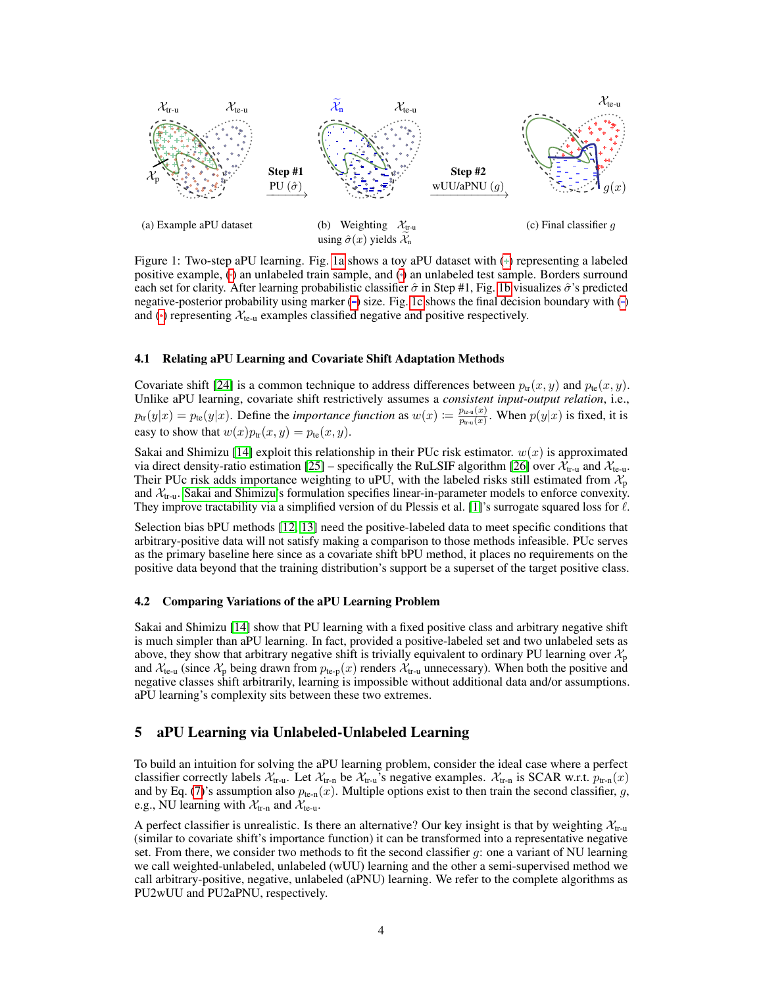<span id="page-3-0"></span>

<span id="page-3-3"></span><span id="page-3-2"></span><span id="page-3-1"></span>Figure 1: Two-step aPU learning. Fig. [1a](#page-3-0) shows a toy aPU dataset with (+[\)](#page-3-1) representing a labeled positive example,  $\left( \cdot \right)$  $\left( \cdot \right)$  an unlabeled train sample, and  $\left( \cdot \right)$  $\left( \cdot \right)$  $\left( \cdot \right)$  an unlabeled test sample. Borders surround each set for clarity. After learning probabilistic classifier  $\hat{\sigma}$  in Step #1, Fig. [1b](#page-3-0) visualizes  $\hat{\sigma}$ 's predicted negative-posterior probability using marker  $\left(\text{-}\right)$  $\left(\text{-}\right)$  $\left(\text{-}\right)$  size. Fig. [1c](#page-3-0) shows the final decision boundary with  $\left(\text{-}\right)$ and [\(](#page-3-3) $\cdot$ ) representing  $X_{te-u}$  examples classified negative and positive respectively.

#### 4.1 Relating aPU Learning and Covariate Shift Adaptation Methods

Covariate shift [\[24\]](#page-10-13) is a common technique to address differences between  $p_{tr}(x, y)$  and  $p_{te}(x, y)$ . Unlike aPU learning, covariate shift restrictively assumes a *consistent input-output relation*, i.e.,  $p_{tr}(y|x) = p_{te}(y|x)$ . Define the *importance function* as  $w(x) \coloneqq \frac{p_{teu}(x)}{p_{teu}(x)}$  $\frac{p_{\text{te-u}}(x)}{p_{\text{tr-u}}(x)}$ . When  $p(y|x)$  is fixed, it is easy to show that  $w(x)p_{tr}(x, y) = p_{te}(x, y)$ .

Sakai and Shimizu [\[14\]](#page-10-3) exploit this relationship in their PUc risk estimator.  $w(x)$  is approximated via direct density-ratio estimation [\[25\]](#page-10-14) – specifically the RuLSIF algorithm [\[26\]](#page-10-15) over  $\mathcal{X}_{tr-u}$  and  $\mathcal{X}_{te-u}$ . Their PUc risk adds importance weighting to uPU, with the labeled risks still estimated from  $\mathcal{X}_p$ and  $X_{tr-u}$ . [Sakai and Shimizu'](#page-10-3)s formulation specifies linear-in-parameter models to enforce convexity. They improve tractability via a simplified version of du Plessis et al. [\[1\]](#page-9-0)'s surrogate squared loss for  $\ell$ .

Selection bias bPU methods [\[12,](#page-10-1) [13\]](#page-10-2) need the positive-labeled data to meet specific conditions that arbitrary-positive data will not satisfy making a comparison to those methods infeasible. PUc serves as the primary baseline here since as a covariate shift bPU method, it places no requirements on the positive data beyond that the training distribution's support be a superset of the target positive class.

#### 4.2 Comparing Variations of the aPU Learning Problem

Sakai and Shimizu [\[14\]](#page-10-3) show that PU learning with a fixed positive class and arbitrary negative shift is much simpler than aPU learning. In fact, provided a positive-labeled set and two unlabeled sets as above, they show that arbitrary negative shift is trivially equivalent to ordinary PU learning over  $\mathcal{X}_p$ and  $X_{te-u}$  (since  $X_p$  being drawn from  $p_{te-p}(x)$  renders  $X_{tr-u}$  unnecessary). When both the positive and negative classes shift arbitrarily, learning is impossible without additional data and/or assumptions. aPU learning's complexity sits between these two extremes.

# 5 aPU Learning via Unlabeled-Unlabeled Learning

To build an intuition for solving the aPU learning problem, consider the ideal case where a perfect classifier correctly labels  $\mathcal{X}_{tr-u}$ . Let  $\mathcal{X}_{tr-u}$  be  $\mathcal{X}_{tr-u}$ 's negative examples.  $\mathcal{X}_{tr-u}$  is SCAR w.r.t.  $p_{tr-u}(x)$ and by Eq. [\(7\)](#page-2-2)'s assumption also  $p_{te-n}(x)$ . Multiple options exist to then train the second classifier, g, e.g., NU learning with  $\mathcal{X}_{tr-n}$  and  $\mathcal{X}_{te-n}$ .

A perfect classifier is unrealistic. Is there an alternative? Our key insight is that by weighting  $\mathcal{X}_{tr,u}$ (similar to covariate shift's importance function) it can be transformed into a representative negative set. From there, we consider two methods to fit the second classifier  $g$ : one a variant of NU learning we call weighted-unlabeled, unlabeled (wUU) learning and the other a semi-supervised method we call arbitrary-positive, negative, unlabeled (aPNU) learning. We refer to the complete algorithms as PU2wUU and PU2aPNU, respectively.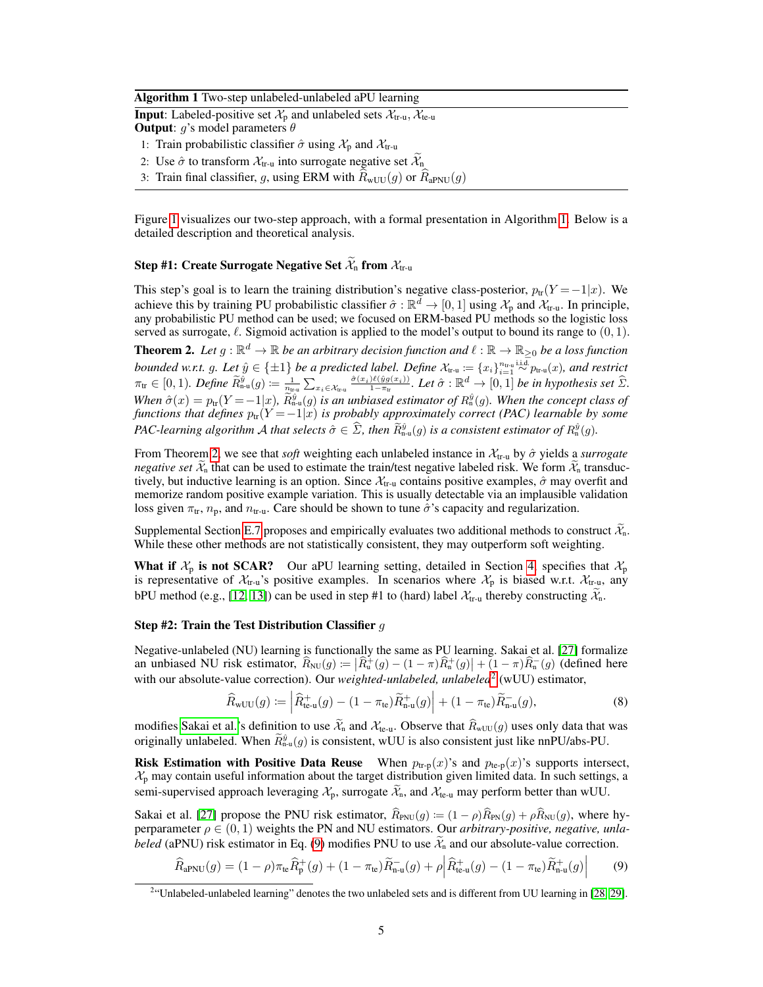<span id="page-4-0"></span>

| <b>Algorithm 1</b> Two-step unlabeled-unlabeled aPU learning                                                      |  |  |  |  |  |  |  |
|-------------------------------------------------------------------------------------------------------------------|--|--|--|--|--|--|--|
| <b>Input:</b> Labeled-positive set $\mathcal{X}_p$ and unlabeled sets $\mathcal{X}_{tr-u}$ , $\mathcal{X}_{te-u}$ |  |  |  |  |  |  |  |
| <b>Output:</b> <i>g</i> 's model parameters $\theta$                                                              |  |  |  |  |  |  |  |
| 1: Train probabilistic classifier $\hat{\sigma}$ using $\mathcal{X}_p$ and $\mathcal{X}_{tr-u}$                   |  |  |  |  |  |  |  |
| 2: Use $\hat{\sigma}$ to transform $\mathcal{X}_{tr-u}$ into surrogate negative set $\mathcal{X}_n$               |  |  |  |  |  |  |  |
| 3: Train final classifier, g, using ERM with $R_{\text{wUU}}(g)$ or $R_{\text{apNU}}(g)$                          |  |  |  |  |  |  |  |

Figure [1](#page-3-0) visualizes our two-step approach, with a formal presentation in Algorithm [1.](#page-4-0) Below is a detailed description and theoretical analysis.

# Step #1: Create Surrogate Negative Set  $\mathcal{X}_n$  from  $\mathcal{X}_{tr-u}$

This step's goal is to learn the training distribution's negative class-posterior,  $p_{tr}(Y = -1|x)$ . We achieve this by training PU probabilistic classifier  $\hat{\sigma} : \mathbb{R}^{\bar{d}} \to [0,1]$  using  $\mathcal{X}_p$  and  $\mathcal{X}_{tr-u}$ . In principle, any probabilistic PU method can be used; we focused on ERM-based PU methods so the logistic loss served as surrogate,  $\ell$ . Sigmoid activation is applied to the model's output to bound its range to  $(0, 1)$ .

<span id="page-4-1"></span>**Theorem 2.** Let  $g : \mathbb{R}^d \to \mathbb{R}$  be an arbitrary decision function and  $\ell : \mathbb{R} \to \mathbb{R}_{\geq 0}$  be a loss function *bounded w.r.t.* g. Let  $\hat{y} \in \{\pm 1\}$  be a predicted label. Define  $\mathcal{X}_{tr-u} \coloneqq \{x_i\}_{i=1}^{n_{tr-u} \text{ i.i.d.}} p_{tr-u}(x)$ , and restrict  $\pi_{tr} \in [0, 1)$ . Define  $\widetilde{R}^{\hat{y}}_{n-u}(g) \coloneqq \frac{1}{n_{tr,u}} \sum_{x_i \in \mathcal{X}_{tr,u}} \frac{\hat{\sigma}(x_i)\ell(\hat{y}g(x_i))}{1-\pi_u}$ . Let  $\hat{\sigma} : \mathbb{R}^d \to [0, 1]$  be in hypothesis set  $\widehat{\Sigma}$ . *When*  $\hat{\sigma}(x) = p_{tr}(Y = -1|x)$ ,  $\tilde{R}_{n}^{\hat{y}}(g)$  *is an unbiased estimator of*  $R_{n}^{\hat{y}}(g)$ *. When the concept class of functions that defines*  $p_{tr}(Y = -1|x)$  *is probably approximately correct (PAC) learnable by some PAC-learning algorithm A that selects*  $\hat{\sigma} \in \hat{\Sigma}$ , *then*  $\widetilde{R}_{n,u}^{\hat{y}}(g)$  *is a consistent estimator of*  $R_n^{\hat{y}}(g)$ *.* 

From Theorem [2,](#page-4-1) we see that *soft* weighting each unlabeled instance in  $\mathcal{X}_{tr-u}$  by  $\hat{\sigma}$  yields a *surrogate negative set*  $\widetilde{X}_n$  that can be used to estimate the train/test negative labeled risk. We form  $\widetilde{X}_n$  transductively, but inductive learning is an option. Since  $\mathcal{X}_{tr-u}$  contains positive examples,  $\hat{\sigma}$  may overfit and memorize random positive example variation. This is usually detectable via an implausible validation loss given  $\pi_{tr}$ ,  $n_p$ , and  $n_{tr-u}$ . Care should be shown to tune  $\hat{\sigma}$ 's capacity and regularization.

Supplemental Section [E.7](#page--1-0) proposes and empirically evaluates two additional methods to construct  $\tilde{\mathcal{X}}_n$ . While these other methods are not statistically consistent, they may outperform soft weighting.

What if  $\mathcal{X}_p$  is not SCAR? Our aPU learning setting, detailed in Section [4,](#page-2-3) specifies that  $\mathcal{X}_p$ is representative of  $\mathcal{X}_{tr-u}$ 's positive examples. In scenarios where  $\mathcal{X}_p$  is biased w.r.t.  $\mathcal{X}_{tr-u}$ , any bPU method (e.g., [\[12,](#page-10-1) [13\]](#page-10-2)) can be used in step #1 to (hard) label  $\mathcal{X}_{tr-u}$  thereby constructing  $\widetilde{\mathcal{X}}_n$ .

#### <span id="page-4-4"></span>Step #2: Train the Test Distribution Classifier  $q$

Negative-unlabeled (NU) learning is functionally the same as PU learning. Sakai et al. [\[27\]](#page-10-16) formalize an unbiased NU risk estimator,  $\widehat{R}_{\text{NU}}(g) := \left| \widehat{R}_{\text{u}}^+(g) - (1 - \pi) \widehat{R}_{\text{n}}^+(g) \right| + (1 - \pi) \widehat{R}_{\text{n}}^-(g)$  (defined here with our absolute-value correction). Our *weighted-unlabeled, unlabeled*<sup>[2](#page-4-2)</sup> (wUU) estimator,

$$
\widehat{R}_{\text{wUU}}(g) \coloneqq \left| \widehat{R}^+_{\text{te-u}}(g) - (1 - \pi_{\text{te}}) \widetilde{R}^+_{\text{n-u}}(g) \right| + (1 - \pi_{\text{te}}) \widetilde{R}^-_{\text{n-u}}(g),\tag{8}
$$

modifies [Sakai et al.'](#page-10-16)s definition to use  $\tilde{\chi}$  and  $\chi$ <sub>te-u</sub>. Observe that  $\hat{R}_{wUU}(g)$  uses only data that was originally unlabeled. When  $\tilde{R}_{n-u}^{\hat{y}}(g)$  is consistent, wUU is also consistent just like nnPU/abs-PU.

**Risk Estimation with Positive Data Reuse** When  $p_{tr-p}(x)$ 's and  $p_{te-p}(x)$ 's supports intersect,  $\mathcal{X}_p$  may contain useful information about the target distribution given limited data. In such settings, a semi-supervised approach leveraging  $\mathcal{X}_p$ , surrogate  $\tilde{\mathcal{X}}_n$ , and  $\mathcal{X}_{te-u}$  may perform better than wUU.

Sakai et al. [\[27\]](#page-10-16) propose the PNU risk estimator,  $\widehat{R}_{\text{PNU}}(g) := (1 - \rho)\widehat{R}_{\text{PV}}(g) + \rho\widehat{R}_{\text{NU}}(g)$ , where hyperparameter  $\rho \in (0, 1)$  weights the PN and NU estimators. Our *arbitrary-positive, negative, unlabeled* (aPNU) risk estimator in Eq. [\(9\)](#page-4-3) modifies PNU to use  $\widetilde{\mathcal{X}}_n$  and our absolute-value correction.

<span id="page-4-3"></span>
$$
\widehat{R}_{\text{aPNU}}(g) = (1 - \rho)\pi_{\text{te}}\widehat{R}_{\text{p}}^+(g) + (1 - \pi_{\text{te}})\widetilde{R}_{\text{n-u}}^-(g) + \rho \left|\widehat{R}_{\text{te-u}}^+(g) - (1 - \pi_{\text{te}})\widetilde{R}_{\text{n-u}}^+(g)\right| \tag{9}
$$

<span id="page-4-2"></span><sup>2</sup> "Unlabeled-unlabeled learning" denotes the two unlabeled sets and is different from UU learning in [\[28,](#page-10-17) [29\]](#page-10-18).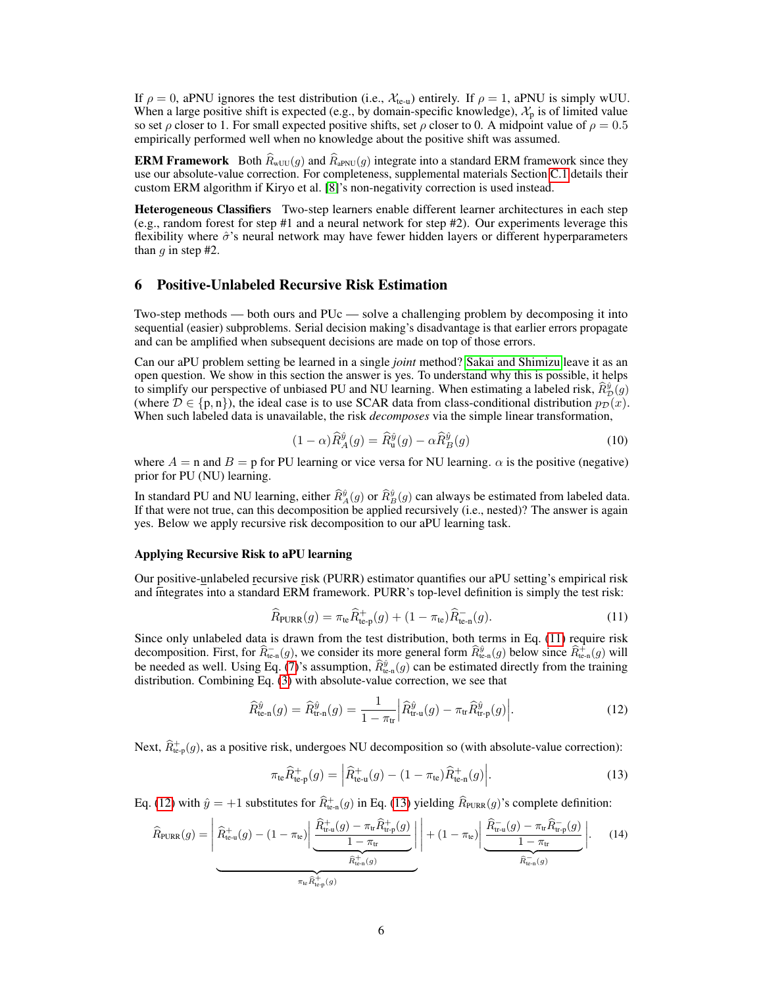If  $\rho = 0$ , aPNU ignores the test distribution (i.e.,  $\mathcal{X}_{\text{te-u}}$ ) entirely. If  $\rho = 1$ , aPNU is simply wUU. When a large positive shift is expected (e.g., by domain-specific knowledge),  $\mathcal{X}_p$  is of limited value so set  $\rho$  closer to 1. For small expected positive shifts, set  $\rho$  closer to 0. A midpoint value of  $\rho = 0.5$ empirically performed well when no knowledge about the positive shift was assumed.

**ERM Framework** Both  $\hat{R}_{wUU}(q)$  and  $\hat{R}_{aPNU}(q)$  integrate into a standard ERM framework since they use our absolute-value correction. For completeness, supplemental materials Section [C.1](#page--1-2) details their custom ERM algorithm if Kiryo et al. [\[8\]](#page-9-7)'s non-negativity correction is used instead.

Heterogeneous Classifiers Two-step learners enable different learner architectures in each step (e.g., random forest for step #1 and a neural network for step #2). Our experiments leverage this flexibility where  $\hat{\sigma}$ 's neural network may have fewer hidden layers or different hyperparameters than q in step  $#2$ .

## 6 Positive-Unlabeled Recursive Risk Estimation

Two-step methods — both ours and PUc — solve a challenging problem by decomposing it into sequential (easier) subproblems. Serial decision making's disadvantage is that earlier errors propagate and can be amplified when subsequent decisions are made on top of those errors.

Can our aPU problem setting be learned in a single *joint* method? [Sakai and Shimizu](#page-10-3) leave it as an open question. We show in this section the answer is yes. To understand why this is possible, it helps to simplify our perspective of unbiased PU and NU learning. When estimating a labeled risk,  $\hat{R}_{\mathcal{D}}^{\hat{y}}(g)$ (where  $\mathcal{D} \in \{p, n\}$ ), the ideal case is to use SCAR data from class-conditional distribution  $p_{\mathcal{D}}(x)$ . When such labeled data is unavailable, the risk *decomposes* via the simple linear transformation,

$$
(1 - \alpha)\widehat{R}^{\widehat{y}}_{A}(g) = \widehat{R}^{\widehat{y}}_{\mathbf{u}}(g) - \alpha \widehat{R}^{\widehat{y}}_{B}(g)
$$
\n(10)

where  $A = n$  and  $B = p$  for PU learning or vice versa for NU learning.  $\alpha$  is the positive (negative) prior for PU (NU) learning.

In standard PU and NU learning, either  $\widehat{R}_{A}^{\widehat{y}}(g)$  or  $\widehat{R}_{B}^{\widehat{y}}(g)$  can always be estimated from labeled data. If that were not true, can this decomposition be applied recursively (i.e., nested)? The answer is again yes. Below we apply recursive risk decomposition to our aPU learning task.

## Applying Recursive Risk to aPU learning

Our positive-unlabeled recursive risk (PURR) estimator quantifies our aPU setting's empirical risk and integrates into a standard ERM framework. PURR's top-level definition is simply the test risk:

<span id="page-5-0"></span>
$$
\widehat{R}_{\text{PURR}}(g) = \pi_{\text{te}} \widehat{R}_{\text{te-p}}^+(g) + (1 - \pi_{\text{te}}) \widehat{R}_{\text{te-n}}^-(g). \tag{11}
$$

Since only unlabeled data is drawn from the test distribution, both terms in Eq. [\(11\)](#page-5-0) require risk decomposition. First, for  $\hat{R}_{te-n}^-(g)$ , we consider its more general form  $\hat{R}_{te-n}^{\hat{y}}(g)$  below since  $\hat{R}_{te-n}^+(g)$  will be needed as well. Using Eq. [\(7\)](#page-2-2)'s assumption,  $\hat{R}_{te-n}^{\hat{y}}(g)$  can be estimated directly from the training distribution. Combining Eq. [\(3\)](#page-1-0) with absolute-value correction, we see that

<span id="page-5-1"></span>
$$
\widehat{R}_{\text{te-n}}^{\hat{y}}(g) = \widehat{R}_{\text{tr-n}}^{\hat{y}}(g) = \frac{1}{1 - \pi_{\text{tr}}} \left| \widehat{R}_{\text{tr-u}}^{\hat{y}}(g) - \pi_{\text{tr}} \widehat{R}_{\text{tr-p}}^{\hat{y}}(g) \right|.
$$
\n(12)

Next,  $\widehat{R}^+_{te-p}(g)$ , as a positive risk, undergoes NU decomposition so (with absolute-value correction):

<span id="page-5-2"></span>
$$
\pi_{\text{te}}\widehat{R}^+_{\text{te-p}}(g) = \left| \widehat{R}^+_{\text{te-u}}(g) - (1 - \pi_{\text{te}})\widehat{R}^+_{\text{te-n}}(g) \right|. \tag{13}
$$

Eq. [\(12\)](#page-5-1) with  $\hat{y} = +1$  substitutes for  $\hat{R}_{te-n}^+(g)$  in Eq. [\(13\)](#page-5-2) yielding  $\hat{R}_{PURR}(g)$ 's complete definition:

$$
\widehat{R}_{\text{FURR}}(g) = \left| \widehat{R}_{\text{te-u}}^+(g) - (1 - \pi_{\text{te}}) \left| \underbrace{\frac{\widehat{R}_{\text{tr-u}}^+(g) - \pi_{\text{tr}} \widehat{R}_{\text{tr-p}}^+(g)}{1 - \pi_{\text{tr}}}}_{\widehat{R}_{\text{te-n}}^+(g)} \right| \right| + (1 - \pi_{\text{te}}) \left| \underbrace{\frac{\widehat{R}_{\text{tr-u}}^-(g) - \pi_{\text{tr}} \widehat{R}_{\text{tr-p}}^-(g)}{1 - \pi_{\text{tr}}}}_{\widehat{R}_{\text{te-n}}^-(g)} \right|.
$$
\n(14)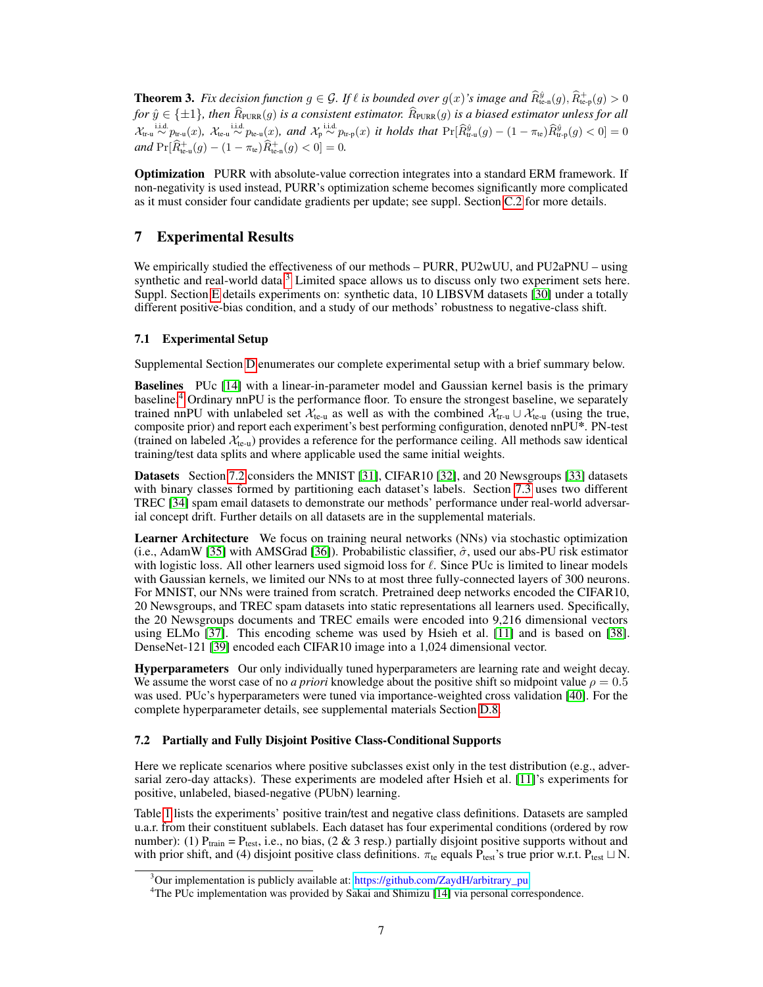**Theorem 3.** *Fix decision function*  $g \in \mathcal{G}$ . If  $\ell$  is bounded over  $g(x)$ 's image and  $\widehat{R}_{\text{te-n}}^{\widehat{y}}(g)$ ,  $\widehat{R}_{\text{te-p}}^+(g) > 0$ *for*  $\hat{y} \in \{\pm 1\}$ , then  $\widehat{R}_{\text{PURR}}(g)$  *is a consistent estimator.*  $\widehat{R}_{\text{PURR}}(g)$  *is a biased estimator unless for all*  $\mathcal{X}_{\text{tr-u}} \stackrel{\text{i.i.d.}}{\sim} p_{\text{tr-u}}(x)$ ,  $\mathcal{X}_{\text{te-u}} \stackrel{\text{i.i.d.}}{\sim} p_{\text{te-u}}(x)$ , and  $\mathcal{X}_{\text{p}} \stackrel{\text{i.i.d.}}{\sim} p_{\text{tr-p}}(x)$  it holds that  $\Pr[\widehat{R}_{\text{tr-u}}^{\hat{y}}(g) - (1 - \pi_{\text{te}}) \widehat{R}_{\text{tr-p}}^{\hat{y}}(g) < 0] = 0$  $and \Pr[\widehat{R}^+_{te-u}(g) - (1 - \pi_{te})\widehat{R}^+_{te-n}(g) < 0] = 0.$ 

Optimization PURR with absolute-value correction integrates into a standard ERM framework. If non-negativity is used instead, PURR's optimization scheme becomes significantly more complicated as it must consider four candidate gradients per update; see suppl. Section [C.2](#page--1-3) for more details.

# 7 Experimental Results

We empirically studied the effectiveness of our methods – PURR, PU2wUU, and PU2aPNU – using synthetic and real-world data.<sup>[3](#page-6-0)</sup> Limited space allows us to discuss only two experiment sets here. Suppl. Section [E](#page--1-0) details experiments on: synthetic data, 10 LIBSVM datasets [\[30\]](#page-10-19) under a totally different positive-bias condition, and a study of our methods' robustness to negative-class shift.

#### 7.1 Experimental Setup

Supplemental Section [D](#page--1-4) enumerates our complete experimental setup with a brief summary below.

Baselines PUc [\[14\]](#page-10-3) with a linear-in-parameter model and Gaussian kernel basis is the primary baseline.[4](#page-6-1) Ordinary nnPU is the performance floor. To ensure the strongest baseline, we separately trained nnPU with unlabeled set  $\mathcal{X}_{te-u}$  as well as with the combined  $\mathcal{X}_{te-u} \cup \mathcal{X}_{te-u}$  (using the true, composite prior) and report each experiment's best performing configuration, denoted nnPU\*. PN-test (trained on labeled  $\mathcal{X}_{te-u}$ ) provides a reference for the performance ceiling. All methods saw identical training/test data splits and where applicable used the same initial weights.

Datasets Section [7.2](#page-6-2) considers the MNIST [\[31\]](#page-10-20), CIFAR10 [\[32\]](#page-10-21), and 20 Newsgroups [\[33\]](#page-11-0) datasets with binary classes formed by partitioning each dataset's labels. Section [7.3](#page-8-0) uses two different TREC [\[34\]](#page-11-1) spam email datasets to demonstrate our methods' performance under real-world adversarial concept drift. Further details on all datasets are in the supplemental materials.

**Learner Architecture** We focus on training neural networks (NNs) via stochastic optimization (i.e., AdamW [\[35\]](#page-11-2) with AMSGrad [\[36\]](#page-11-3)). Probabilistic classifier,  $\hat{\sigma}$ , used our abs-PU risk estimator with logistic loss. All other learners used sigmoid loss for  $\ell$ . Since PUc is limited to linear models with Gaussian kernels, we limited our NNs to at most three fully-connected layers of 300 neurons. For MNIST, our NNs were trained from scratch. Pretrained deep networks encoded the CIFAR10, 20 Newsgroups, and TREC spam datasets into static representations all learners used. Specifically, the 20 Newsgroups documents and TREC emails were encoded into 9,216 dimensional vectors using ELMo [\[37\]](#page-11-4). This encoding scheme was used by Hsieh et al. [\[11\]](#page-10-0) and is based on [\[38\]](#page-11-5). DenseNet-121 [\[39\]](#page-11-6) encoded each CIFAR10 image into a 1,024 dimensional vector.

Hyperparameters Our only individually tuned hyperparameters are learning rate and weight decay. We assume the worst case of no *a priori* knowledge about the positive shift so midpoint value  $\rho = 0.5$ was used. PUc's hyperparameters were tuned via importance-weighted cross validation [\[40\]](#page-11-7). For the complete hyperparameter details, see supplemental materials Section [D.8.](#page--1-5)

#### <span id="page-6-2"></span>7.2 Partially and Fully Disjoint Positive Class-Conditional Supports

Here we replicate scenarios where positive subclasses exist only in the test distribution (e.g., adversarial zero-day attacks). These experiments are modeled after Hsieh et al. [\[11\]](#page-10-0)'s experiments for positive, unlabeled, biased-negative (PUbN) learning.

Table [1](#page-7-0) lists the experiments' positive train/test and negative class definitions. Datasets are sampled u.a.r. from their constituent sublabels. Each dataset has four experimental conditions (ordered by row number): (1)  $P_{train} = P_{test}$ , i.e., no bias, (2 & 3 resp.) partially disjoint positive supports without and with prior shift, and (4) disjoint positive class definitions.  $\pi_{te}$  equals  $P_{test}$ 's true prior w.r.t.  $P_{test} \sqcup N$ .

<span id="page-6-0"></span><sup>&</sup>lt;sup>3</sup>Our implementation is publicly available at: [https://github.com/ZaydH/arbitrary\\_pu.](https://github.com/ZaydH/arbitrary_pu)

<span id="page-6-1"></span><sup>&</sup>lt;sup>4</sup>The PUc implementation was provided by Sakai and Shimizu [\[14\]](#page-10-3) via personal correspondence.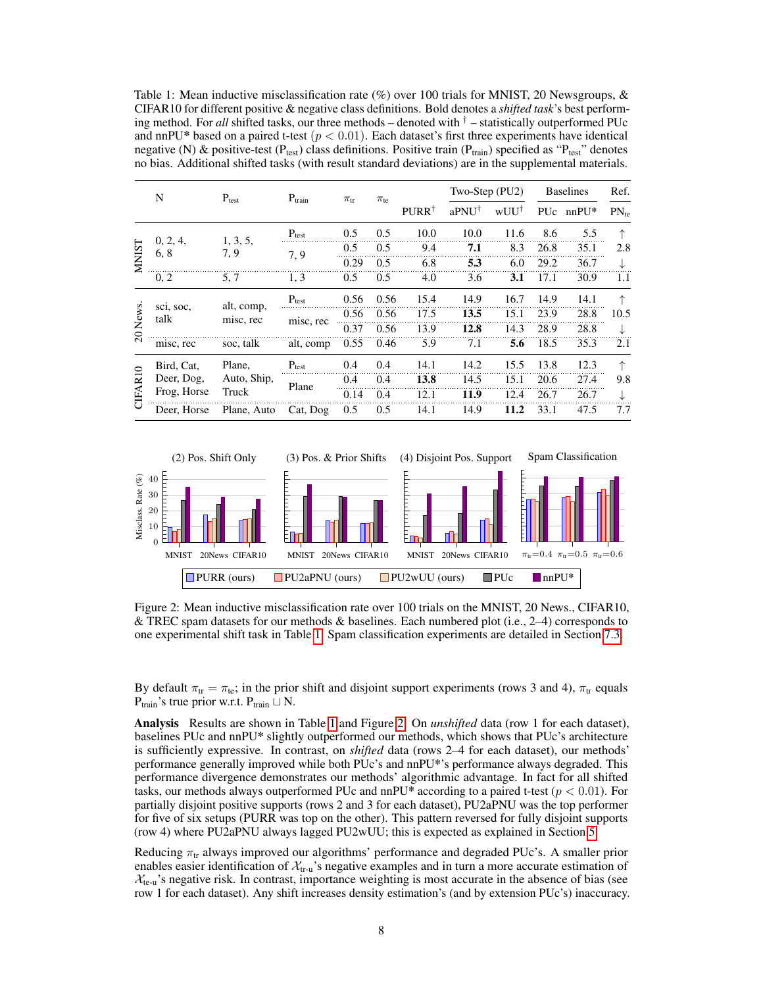<span id="page-7-0"></span>Table 1: Mean inductive misclassification rate (%) over 100 trials for MNIST, 20 Newsgroups, & CIFAR10 for different positive & negative class definitions. Bold denotes a *shifted task*'s best performing method. For *all* shifted tasks, our three methods – denoted with † – statistically outperformed PUc and nnPU\* based on a paired t-test ( $p < 0.01$ ). Each dataset's first three experiments have identical negative (N) & positive-test ( $P_{test}$ ) class definitions. Positive train ( $P_{train}$ ) specified as " $P_{test}$ " denotes no bias. Additional shifted tasks (with result standard deviations) are in the supplemental materials.

|                         | N                        | $P_{test}$                     | $P_{train}$ | $\pi_{\rm tr}$ | $\pi_{te}$ |                  |                      | Two-Step (PU2)  |      | <b>Baselines</b> |            |
|-------------------------|--------------------------|--------------------------------|-------------|----------------|------------|------------------|----------------------|-----------------|------|------------------|------------|
|                         |                          |                                |             |                |            | $PURR^{\dagger}$ | $a$ PNU <sup>†</sup> | $WUU^{\dagger}$ | PUc  | $nnPU*$          | $PN_{te}$  |
| <b>NNIST</b>            | 0, 2, 4,<br>6, 8         | 1, 3, 5,<br>7, 9               | $P_{test}$  | 0.5            | 0.5        | 10.0             | 10.0                 | 11.6            | 8.6  | 5.5              | ↑          |
|                         |                          |                                | 7, 9        | 0.5            | 0.5        | 9.4              | 7.1                  | 8.3             | 26.8 | 35.1             | 2.8        |
|                         |                          |                                |             | 0.29           | 0.5        | 6.8              | 5.3                  | 6.0             | 29.2 | 36.7             | ↓          |
|                         | 0, 2                     | 5, 7                           | 1, 3        | 0.5            | 0.5        | 4.0              | 3.6                  | 3.1             | 17.1 | 30.9             | 1.1        |
| News.<br>$\overline{c}$ | sci, soc,<br>talk        | alt, comp,<br>misc, rec        | $P_{test}$  | 0.56           | 0.56       | 15.4             | 14.9                 | 16.7            | 14.9 | 14.1             | 个          |
|                         |                          |                                | misc, rec   | 0.56           | 0.56       | 17.5             | 13.5                 | 15.1            | 23.9 | 28.8             | 10.5       |
|                         |                          |                                |             | 0.37           | 0.56       | 13.9             | 12.8                 | 14.3            | 28.9 | 28.8             | ↓          |
|                         | misc, rec                | soc, talk                      | alt, comp   | 0.55           | 0.46       | 5.9              | 7.1                  | 5.6             | 18.5 | 35.3             | 2.1        |
| <b>CIFAR1</b>           | Bird, Cat.<br>Deer, Dog, | Plane,<br>Auto, Ship,<br>Truck | $P_{test}$  | 0.4            | 0.4        | 14.1             | 14.2                 | 15.5            | 13.8 | 12.3             | $\uparrow$ |
|                         |                          |                                | Plane       | 0.4            | 0.4        | 13.8             | 14.5                 | 15.1            | 20.6 | 27.4             | 9.8        |
|                         | Frog, Horse              |                                |             | 0.14           | 0.4        | 12.1             | 11.9                 | 12.4            | 26.7 | 26.7             | ↓          |
|                         | Deer, Horse              | Plane, Auto                    | Cat, Dog    | 0.5            | 0.5        | 14.1             | 14.9                 | 11.2            | 33.1 | 47.5             | 7.7        |

<span id="page-7-1"></span>

Figure 2: Mean inductive misclassification rate over 100 trials on the MNIST, 20 News., CIFAR10, & TREC spam datasets for our methods & baselines. Each numbered plot (i.e., 2–4) corresponds to one experimental shift task in Table [1.](#page-7-0) Spam classification experiments are detailed in Section [7.3.](#page-8-0)

By default  $\pi_{tr} = \pi_{te}$ ; in the prior shift and disjoint support experiments (rows 3 and 4),  $\pi_{tr}$  equals  $P_{train}$ 's true prior w.r.t.  $P_{train} \sqcup N$ .

Analysis Results are shown in Table [1](#page-7-0) and Figure [2.](#page-7-1) On *unshifted* data (row 1 for each dataset), baselines PUc and nnPU\* slightly outperformed our methods, which shows that PUc's architecture is sufficiently expressive. In contrast, on *shifted* data (rows 2–4 for each dataset), our methods' performance generally improved while both PUc's and nnPU\*'s performance always degraded. This performance divergence demonstrates our methods' algorithmic advantage. In fact for all shifted tasks, our methods always outperformed PUc and nnPU\* according to a paired t-test ( $p < 0.01$ ). For partially disjoint positive supports (rows 2 and 3 for each dataset), PU2aPNU was the top performer for five of six setups (PURR was top on the other). This pattern reversed for fully disjoint supports (row 4) where PU2aPNU always lagged PU2wUU; this is expected as explained in Section [5.](#page-4-4)

Reducing  $\pi_{tr}$  always improved our algorithms' performance and degraded PUc's. A smaller prior enables easier identification of  $\mathcal{X}_{tr-u}$ 's negative examples and in turn a more accurate estimation of  $\mathcal{X}_{te-u}$ 's negative risk. In contrast, importance weighting is most accurate in the absence of bias (see row 1 for each dataset). Any shift increases density estimation's (and by extension PUc's) inaccuracy.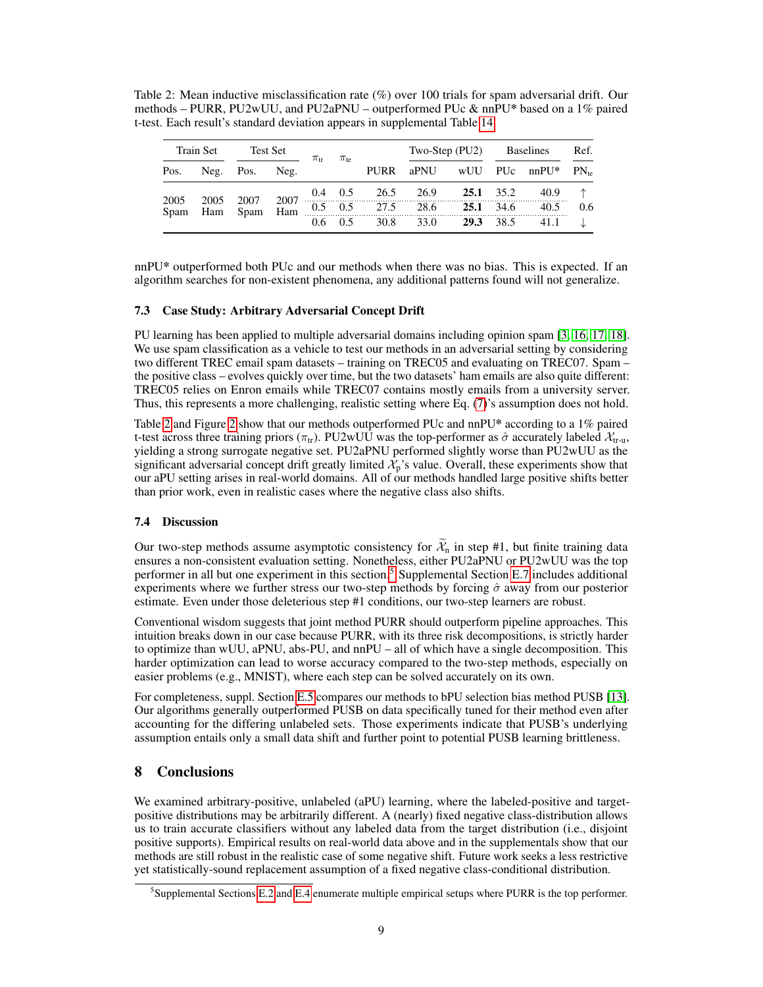<span id="page-8-1"></span>Table 2: Mean inductive misclassification rate (%) over 100 trials for spam adversarial drift. Our methods – PURR, PU2wUU, and PU2aPNU – outperformed PUc & nnPU\* based on a 1% paired t-test. Each result's standard deviation appears in supplemental Table [14.](#page--1-6)

| Train Set |  | Test Set                                                                                                                                                                                                                     |  | $\pi_{\rm tr}$ | $\pi_{\text{te}}$ | Two-Step (PU2) Baselines |  |  |                                                      | Ref. |
|-----------|--|------------------------------------------------------------------------------------------------------------------------------------------------------------------------------------------------------------------------------|--|----------------|-------------------|--------------------------|--|--|------------------------------------------------------|------|
| Pos.      |  | Neg. Pos. Neg.                                                                                                                                                                                                               |  |                |                   |                          |  |  | PURR aPNU wUU PUc nnPU* $PN_{te}$                    |      |
|           |  | $\begin{tabular}{cccccc} 2005 & 2005 & 2007 & 2007 & 0.4 & 0.5 & 26.5 & 26.9 & \textbf{25.1} & 35.2 & 40.9 \\ \text{Spam} & Ham & Span & Ham & 0.5 & 0.5 & 27.5 & 28.6 & \textbf{25.1} & 34.6 & 40.5 & 0.6 \\ \end{tabular}$ |  |                |                   |                          |  |  |                                                      |      |
|           |  |                                                                                                                                                                                                                              |  |                |                   |                          |  |  |                                                      |      |
|           |  |                                                                                                                                                                                                                              |  |                |                   |                          |  |  | 0.6 0.5 30.8 33.0 <b>29.3</b> 38.5 41.1 $\downarrow$ |      |

nnPU\* outperformed both PUc and our methods when there was no bias. This is expected. If an algorithm searches for non-existent phenomena, any additional patterns found will not generalize.

## <span id="page-8-0"></span>7.3 Case Study: Arbitrary Adversarial Concept Drift

PU learning has been applied to multiple adversarial domains including opinion spam [\[3,](#page-9-2) [16,](#page-10-5) [17,](#page-10-6) [18\]](#page-10-7). We use spam classification as a vehicle to test our methods in an adversarial setting by considering two different TREC email spam datasets – training on TREC05 and evaluating on TREC07. Spam – the positive class – evolves quickly over time, but the two datasets' ham emails are also quite different: TREC05 relies on Enron emails while TREC07 contains mostly emails from a university server. Thus, this represents a more challenging, realistic setting where Eq. [\(7\)](#page-2-2)'s assumption does not hold.

Table [2](#page-8-1) and Figure [2](#page-7-1) show that our methods outperformed PUc and nnPU\* according to a 1% paired t-test across three training priors ( $\pi_{tr}$ ). PU2wUU was the top-performer as  $\hat{\sigma}$  accurately labeled  $\mathcal{X}_{tr-u}$ , yielding a strong surrogate negative set. PU2aPNU performed slightly worse than PU2wUU as the significant adversarial concept drift greatly limited  $\mathcal{X}_p$ 's value. Overall, these experiments show that our aPU setting arises in real-world domains. All of our methods handled large positive shifts better than prior work, even in realistic cases where the negative class also shifts.

#### 7.4 Discussion

Our two-step methods assume asymptotic consistency for  $\widetilde{\mathcal{X}}_n$  in step #1, but finite training data ensures a non-consistent evaluation setting. Nonetheless, either PU2aPNU or PU2wUU was the top performer in all but one experiment in this section.<sup>[5](#page-8-2)</sup> Supplemental Section [E.7](#page--1-0) includes additional experiments where we further stress our two-step methods by forcing  $\hat{\sigma}$  away from our posterior estimate. Even under those deleterious step #1 conditions, our two-step learners are robust.

Conventional wisdom suggests that joint method PURR should outperform pipeline approaches. This intuition breaks down in our case because PURR, with its three risk decompositions, is strictly harder to optimize than wUU, aPNU, abs-PU, and nnPU – all of which have a single decomposition. This harder optimization can lead to worse accuracy compared to the two-step methods, especially on easier problems (e.g., MNIST), where each step can be solved accurately on its own.

For completeness, suppl. Section [E.5](#page--1-0) compares our methods to bPU selection bias method PUSB [\[13\]](#page-10-2). Our algorithms generally outperformed PUSB on data specifically tuned for their method even after accounting for the differing unlabeled sets. Those experiments indicate that PUSB's underlying assumption entails only a small data shift and further point to potential PUSB learning brittleness.

# 8 Conclusions

We examined arbitrary-positive, unlabeled (aPU) learning, where the labeled-positive and targetpositive distributions may be arbitrarily different. A (nearly) fixed negative class-distribution allows us to train accurate classifiers without any labeled data from the target distribution (i.e., disjoint positive supports). Empirical results on real-world data above and in the supplementals show that our methods are still robust in the realistic case of some negative shift. Future work seeks a less restrictive yet statistically-sound replacement assumption of a fixed negative class-conditional distribution.

<span id="page-8-2"></span> $<sup>5</sup>$ Supplemental Sections [E.2](#page--1-0) and [E.4](#page--1-0) enumerate multiple empirical setups where PURR is the top performer.</sup>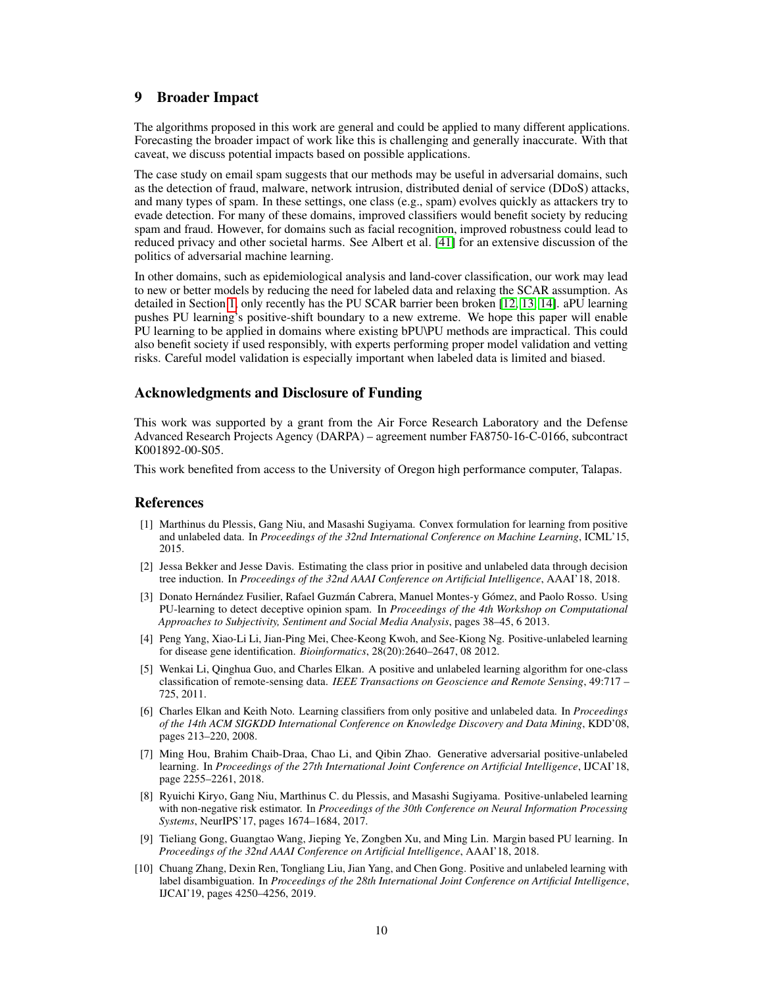# 9 Broader Impact

The algorithms proposed in this work are general and could be applied to many different applications. Forecasting the broader impact of work like this is challenging and generally inaccurate. With that caveat, we discuss potential impacts based on possible applications.

The case study on email spam suggests that our methods may be useful in adversarial domains, such as the detection of fraud, malware, network intrusion, distributed denial of service (DDoS) attacks, and many types of spam. In these settings, one class (e.g., spam) evolves quickly as attackers try to evade detection. For many of these domains, improved classifiers would benefit society by reducing spam and fraud. However, for domains such as facial recognition, improved robustness could lead to reduced privacy and other societal harms. See Albert et al. [\[41\]](#page-11-8) for an extensive discussion of the politics of adversarial machine learning.

In other domains, such as epidemiological analysis and land-cover classification, our work may lead to new or better models by reducing the need for labeled data and relaxing the SCAR assumption. As detailed in Section [1,](#page-0-0) only recently has the PU SCAR barrier been broken [\[12,](#page-10-1) [13,](#page-10-2) [14\]](#page-10-3). aPU learning pushes PU learning's positive-shift boundary to a new extreme. We hope this paper will enable PU learning to be applied in domains where existing bPU\PU methods are impractical. This could also benefit society if used responsibly, with experts performing proper model validation and vetting risks. Careful model validation is especially important when labeled data is limited and biased.

# Acknowledgments and Disclosure of Funding

This work was supported by a grant from the Air Force Research Laboratory and the Defense Advanced Research Projects Agency (DARPA) – agreement number FA8750-16-C-0166, subcontract K001892-00-S05.

This work benefited from access to the University of Oregon high performance computer, Talapas.

# References

- <span id="page-9-0"></span>[1] Marthinus du Plessis, Gang Niu, and Masashi Sugiyama. Convex formulation for learning from positive and unlabeled data. In *Proceedings of the 32nd International Conference on Machine Learning*, ICML'15, 2015.
- <span id="page-9-1"></span>[2] Jessa Bekker and Jesse Davis. Estimating the class prior in positive and unlabeled data through decision tree induction. In *Proceedings of the 32nd AAAI Conference on Artificial Intelligence*, AAAI'18, 2018.
- <span id="page-9-2"></span>[3] Donato Hernández Fusilier, Rafael Guzmán Cabrera, Manuel Montes-y Gómez, and Paolo Rosso. Using PU-learning to detect deceptive opinion spam. In *Proceedings of the 4th Workshop on Computational Approaches to Subjectivity, Sentiment and Social Media Analysis*, pages 38–45, 6 2013.
- <span id="page-9-3"></span>[4] Peng Yang, Xiao-Li Li, Jian-Ping Mei, Chee-Keong Kwoh, and See-Kiong Ng. Positive-unlabeled learning for disease gene identification. *Bioinformatics*, 28(20):2640–2647, 08 2012.
- <span id="page-9-4"></span>[5] Wenkai Li, Qinghua Guo, and Charles Elkan. A positive and unlabeled learning algorithm for one-class classification of remote-sensing data. *IEEE Transactions on Geoscience and Remote Sensing*, 49:717 – 725, 2011.
- <span id="page-9-5"></span>[6] Charles Elkan and Keith Noto. Learning classifiers from only positive and unlabeled data. In *Proceedings of the 14th ACM SIGKDD International Conference on Knowledge Discovery and Data Mining*, KDD'08, pages 213–220, 2008.
- <span id="page-9-6"></span>[7] Ming Hou, Brahim Chaib-Draa, Chao Li, and Qibin Zhao. Generative adversarial positive-unlabeled learning. In *Proceedings of the 27th International Joint Conference on Artificial Intelligence*, IJCAI'18, page 2255–2261, 2018.
- <span id="page-9-7"></span>[8] Ryuichi Kiryo, Gang Niu, Marthinus C. du Plessis, and Masashi Sugiyama. Positive-unlabeled learning with non-negative risk estimator. In *Proceedings of the 30th Conference on Neural Information Processing Systems*, NeurIPS'17, pages 1674–1684, 2017.
- <span id="page-9-8"></span>[9] Tieliang Gong, Guangtao Wang, Jieping Ye, Zongben Xu, and Ming Lin. Margin based PU learning. In *Proceedings of the 32nd AAAI Conference on Artificial Intelligence*, AAAI'18, 2018.
- <span id="page-9-9"></span>[10] Chuang Zhang, Dexin Ren, Tongliang Liu, Jian Yang, and Chen Gong. Positive and unlabeled learning with label disambiguation. In *Proceedings of the 28th International Joint Conference on Artificial Intelligence*, IJCAI'19, pages 4250–4256, 2019.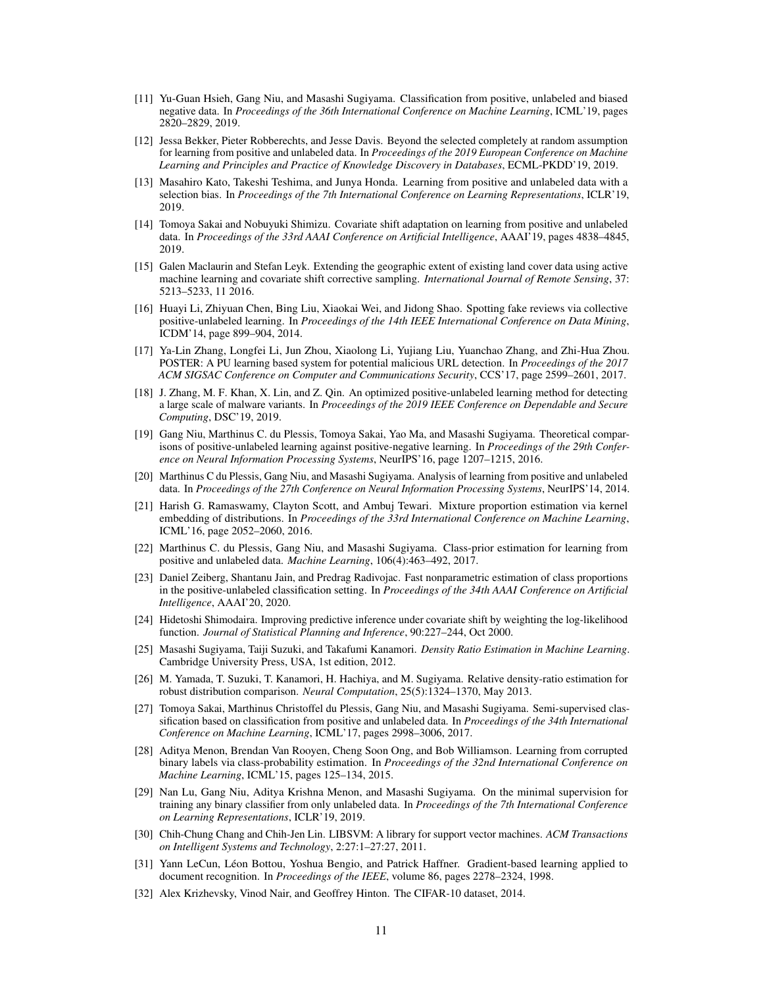- <span id="page-10-0"></span>[11] Yu-Guan Hsieh, Gang Niu, and Masashi Sugiyama. Classification from positive, unlabeled and biased negative data. In *Proceedings of the 36th International Conference on Machine Learning*, ICML'19, pages 2820–2829, 2019.
- <span id="page-10-1"></span>[12] Jessa Bekker, Pieter Robberechts, and Jesse Davis. Beyond the selected completely at random assumption for learning from positive and unlabeled data. In *Proceedings of the 2019 European Conference on Machine Learning and Principles and Practice of Knowledge Discovery in Databases*, ECML-PKDD'19, 2019.
- <span id="page-10-2"></span>[13] Masahiro Kato, Takeshi Teshima, and Junya Honda. Learning from positive and unlabeled data with a selection bias. In *Proceedings of the 7th International Conference on Learning Representations*, ICLR'19, 2019.
- <span id="page-10-3"></span>[14] Tomoya Sakai and Nobuyuki Shimizu. Covariate shift adaptation on learning from positive and unlabeled data. In *Proceedings of the 33rd AAAI Conference on Artificial Intelligence*, AAAI'19, pages 4838–4845, 2019.
- <span id="page-10-4"></span>[15] Galen Maclaurin and Stefan Leyk. Extending the geographic extent of existing land cover data using active machine learning and covariate shift corrective sampling. *International Journal of Remote Sensing*, 37: 5213–5233, 11 2016.
- <span id="page-10-5"></span>[16] Huayi Li, Zhiyuan Chen, Bing Liu, Xiaokai Wei, and Jidong Shao. Spotting fake reviews via collective positive-unlabeled learning. In *Proceedings of the 14th IEEE International Conference on Data Mining*, ICDM'14, page 899–904, 2014.
- <span id="page-10-6"></span>[17] Ya-Lin Zhang, Longfei Li, Jun Zhou, Xiaolong Li, Yujiang Liu, Yuanchao Zhang, and Zhi-Hua Zhou. POSTER: A PU learning based system for potential malicious URL detection. In *Proceedings of the 2017 ACM SIGSAC Conference on Computer and Communications Security*, CCS'17, page 2599–2601, 2017.
- <span id="page-10-7"></span>[18] J. Zhang, M. F. Khan, X. Lin, and Z. Qin. An optimized positive-unlabeled learning method for detecting a large scale of malware variants. In *Proceedings of the 2019 IEEE Conference on Dependable and Secure Computing*, DSC'19, 2019.
- <span id="page-10-8"></span>[19] Gang Niu, Marthinus C. du Plessis, Tomoya Sakai, Yao Ma, and Masashi Sugiyama. Theoretical comparisons of positive-unlabeled learning against positive-negative learning. In *Proceedings of the 29th Conference on Neural Information Processing Systems*, NeurIPS'16, page 1207–1215, 2016.
- <span id="page-10-9"></span>[20] Marthinus C du Plessis, Gang Niu, and Masashi Sugiyama. Analysis of learning from positive and unlabeled data. In *Proceedings of the 27th Conference on Neural Information Processing Systems*, NeurIPS'14, 2014.
- <span id="page-10-10"></span>[21] Harish G. Ramaswamy, Clayton Scott, and Ambuj Tewari. Mixture proportion estimation via kernel embedding of distributions. In *Proceedings of the 33rd International Conference on Machine Learning*, ICML'16, page 2052–2060, 2016.
- <span id="page-10-11"></span>[22] Marthinus C. du Plessis, Gang Niu, and Masashi Sugiyama. Class-prior estimation for learning from positive and unlabeled data. *Machine Learning*, 106(4):463–492, 2017.
- <span id="page-10-12"></span>[23] Daniel Zeiberg, Shantanu Jain, and Predrag Radivojac. Fast nonparametric estimation of class proportions in the positive-unlabeled classification setting. In *Proceedings of the 34th AAAI Conference on Artificial Intelligence*, AAAI'20, 2020.
- <span id="page-10-13"></span>[24] Hidetoshi Shimodaira. Improving predictive inference under covariate shift by weighting the log-likelihood function. *Journal of Statistical Planning and Inference*, 90:227–244, Oct 2000.
- <span id="page-10-14"></span>[25] Masashi Sugiyama, Taiji Suzuki, and Takafumi Kanamori. *Density Ratio Estimation in Machine Learning*. Cambridge University Press, USA, 1st edition, 2012.
- <span id="page-10-15"></span>[26] M. Yamada, T. Suzuki, T. Kanamori, H. Hachiya, and M. Sugiyama. Relative density-ratio estimation for robust distribution comparison. *Neural Computation*, 25(5):1324–1370, May 2013.
- <span id="page-10-16"></span>[27] Tomoya Sakai, Marthinus Christoffel du Plessis, Gang Niu, and Masashi Sugiyama. Semi-supervised classification based on classification from positive and unlabeled data. In *Proceedings of the 34th International Conference on Machine Learning*, ICML'17, pages 2998–3006, 2017.
- <span id="page-10-17"></span>[28] Aditya Menon, Brendan Van Rooyen, Cheng Soon Ong, and Bob Williamson. Learning from corrupted binary labels via class-probability estimation. In *Proceedings of the 32nd International Conference on Machine Learning*, ICML'15, pages 125–134, 2015.
- <span id="page-10-18"></span>[29] Nan Lu, Gang Niu, Aditya Krishna Menon, and Masashi Sugiyama. On the minimal supervision for training any binary classifier from only unlabeled data. In *Proceedings of the 7th International Conference on Learning Representations*, ICLR'19, 2019.
- <span id="page-10-19"></span>[30] Chih-Chung Chang and Chih-Jen Lin. LIBSVM: A library for support vector machines. *ACM Transactions on Intelligent Systems and Technology*, 2:27:1–27:27, 2011.
- <span id="page-10-20"></span>[31] Yann LeCun, Léon Bottou, Yoshua Bengio, and Patrick Haffner. Gradient-based learning applied to document recognition. In *Proceedings of the IEEE*, volume 86, pages 2278–2324, 1998.
- <span id="page-10-21"></span>[32] Alex Krizhevsky, Vinod Nair, and Geoffrey Hinton. The CIFAR-10 dataset, 2014.